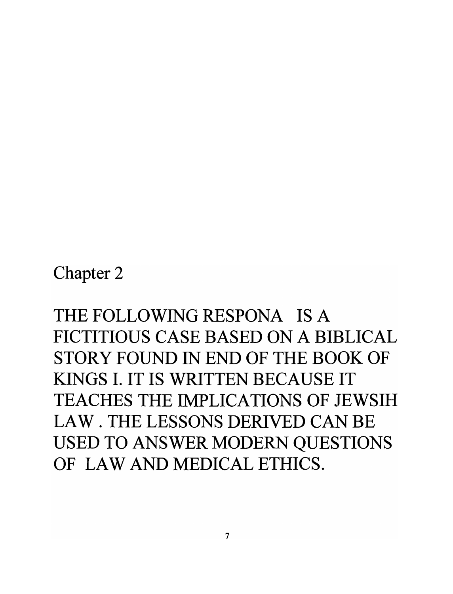Chapter 2

THE FOLLOWING RESPONA **IS** A FICTITIOUS CASE BASED ON A BIBLICAL STORY FOUND IN END OF THE BOOK OF KINGS **I. IT IS** WRITTEN BECAUSE IT TEACHES THE IMPLICATIONS OF JEWSIH LAW. THE LESSONS DERIVED CAN BE USED TO ANSWER MODERN QUESTIONS OF LAW AND MEDICAL ETHICS.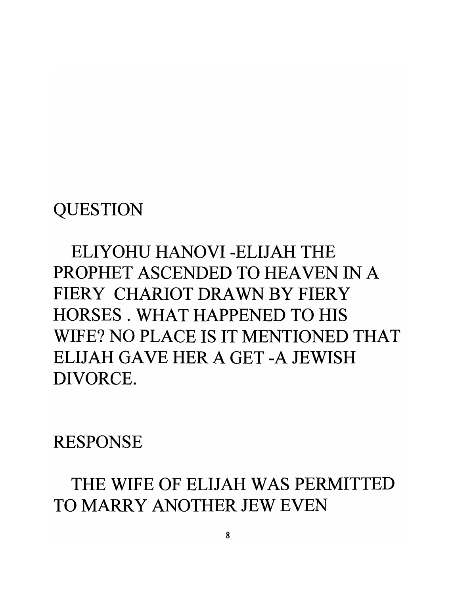### **QUESTION**

ELIYOHU HANOVI -ELIJAH THE PROPHET ASCENDED TO HEAVEN IN A FIERY CHARIOT DRAWN BY FIERY HORSES. WHAT HAPPENED TO **HIS**  WIFE? NO PLACE **IS** IT MENTIONED THAT ELIJAH GAVE HER A GET -A JEWISH DIVORCE.

RESPONSE

THE WIFE OF ELIJAH WAS PERMITTED TO MARRY ANOTHER JEW EVEN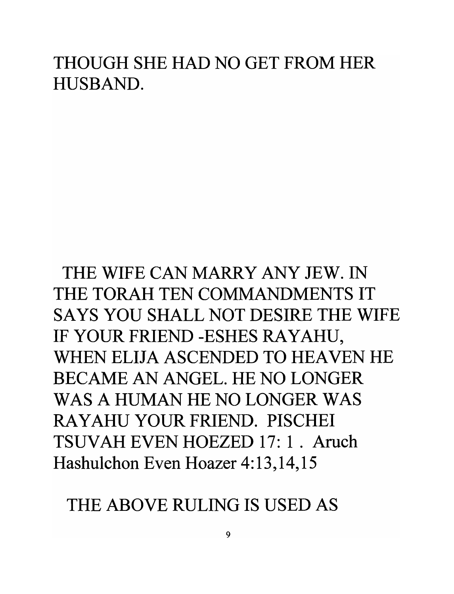#### THOUGH SHE HAD NO GET FROM HER HUSBAND.

# THE WIFE CAN MARRY ANY JEW. IN THE TORAH TEN COMMANDMENTS IT SAYS YOU SHALL NOT DESIRE THE WIFE IF YOUR FRIEND -ESHES RAYAHU, WHEN ELIJA ASCENDED TO HEAVEN HE BECAME AN ANGEL. HE NO LONGER WAS A HUMAN HE NO LONGER WAS RA Y AHU YOUR FRIEND. PISCHEl TSUVAH EVEN HOEZED 17: 1 . Aruch Hashulchon Even Hoazer 4:13,14,15

#### THE ABOVE RULING IS USED AS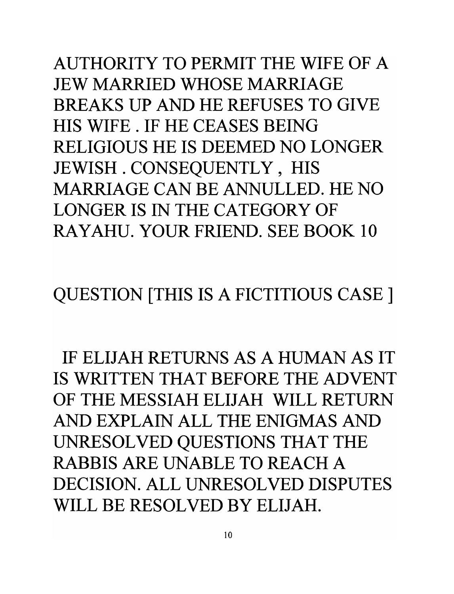AUTHORITY TO PERMIT THE WIFE OF A JEW MARRIED WHOSE MARRIAGE BREAKS UP AND HE REFUSES TO GIVE HIS WIFE. IF HE CEASES BEING RELIGIOUS HE **IS** DEEMED NO LONGER JEWISH . CONSEQUENTLY , HIS MARRIAGE CAN BE ANNULLED. HE NO LONGER **IS IN** THE CATEGORY OF RAYAHU. YOUR FRIEND. SEE BOOK **10** 

QUESTION [THIS **IS A** FICTITIOUS CASE]

IF ELIJAH RETURNS AS A HUMAN AS IT **IS** WRITTEN THAT BEFORE THE ADVENT OF THE MESSIAH ELIJAH WILL RETURN AND EXPLAIN ALL THE ENIGMAS AND UNRESOLVED QUESTIONS THAT THE RABBIS ARE UNABLE TO REACH A DECISION. ALL UNRESOLVED DISPUTES WILL BE RESOLVED BY ELIJAH.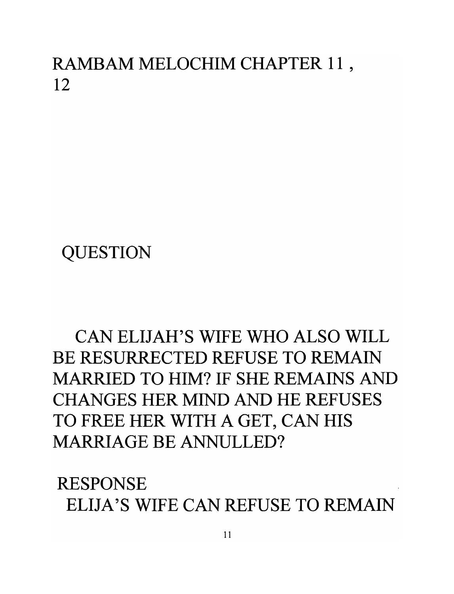RAMBAM MELOCHIM CHAPTER 11 , 12

**QUESTION** 

CAN ELIJAH'S WIFE WHO ALSO WILL BE RESURRECTED REFUSE TO REMAIN MARRIED TO HIM? IF SHE REMAINS AND CHANGES HER MIND AND HE REFUSES TO FREE HER WITH A GET, CAN HIS MARRIAGE BE ANNULLED?

RESPONSE ELIJA'S WIFE CAN REFUSE TO REMAIN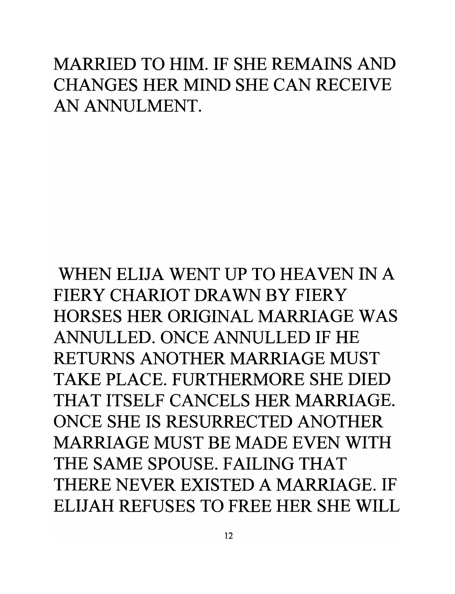## MARRIED TO HIM. IF SHE REMAINS AND CHANGES HER MIND SHE CAN RECEIVE AN ANNULMENT.

WHEN ELIJA WENT UP TO HEAVEN IN A FIERY CHARIOT DRAWN BY FIERY HORSES HER ORIGINAL MARRIAGE WAS ANNULLED. ONCE ANNULLED IF HE RETURNS ANOTHER MARRIAGE MUST TAKE PLACE. FURTHERMORE SHE DIED THAT ITSELF CANCELS HER MARRIAGE. ONCE SHE **IS** RESURRECTED ANOTHER MARRIAGE MUST BE MADE EVEN WITH THE SAME SPOUSE. FAILING THAT THERE NEVER EXISTED A MARRIAGE. IF ELIJAH REFUSES TO FREE HER SHE WILL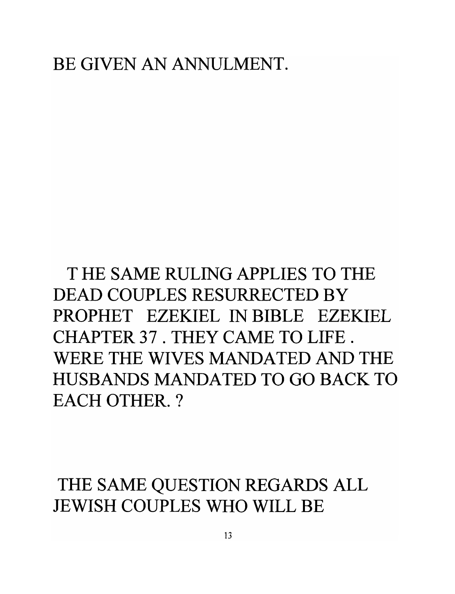T HE SAME RULING APPLIES TO THE DEAD COUPLES RESURRECTED BY PROPHET EZEKIEL IN BIBLE EZEKIEL CHAPTER 37 . THEY CAME TO LIFE. WERE THE WIVES MANDATED AND THE HUSBANDS MANDATED TO GO BACK TO EACH OTHER. ?

THE SAME QUESTION REGARDS ALL JEWISH COUPLES WHO WILL BE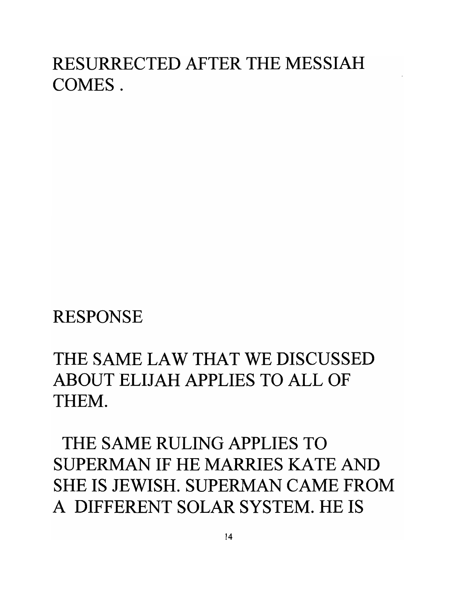# RESURRECTED AFTER THE MESSIAH COMES.

RESPONSE

## THE SAME LAW THAT WE DISCUSSED ABOUT ELIJAH APPLIES TO ALL OF THEM.

THE SAME RULING APPLIES TO SUPERMAN IF HE MARRIES KATE AND SHE **IS** JEWISH. SUPERMAN CAME FROM A DIFFERENT SOLAR SYSTEM. HE **IS**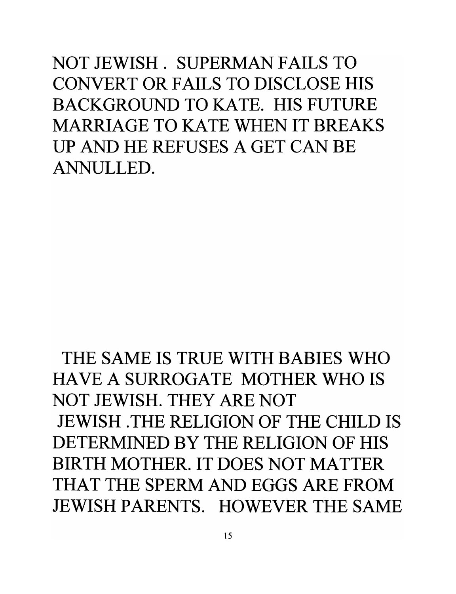NOT JEWISH. SUPERMAN FAILS TO CONVERT OR FAILS TO DISCLOSE HIS BACKGROUND TO KATE. HIS FUTURE MARRIAGE TO KATE WHEN IT BREAKS UP AND HE REFUSES A GET CAN BE ANNULLED.

THE SAME **IS** TRUE WITH BABIES WHO HAVE A SURROGATE MOTHER WHO **IS**  NOT JEWISH. THEY ARE NOT JEWISH .THE RELIGION OF THE CHILD **IS**  DETERMINED BY THE RELIGION OF HIS BIRTH MOTHER. IT DOES NOT MATTER THAT THE SPERM AND EGGS ARE FROM JEWISH PARENTS. HOWEVER THE SAME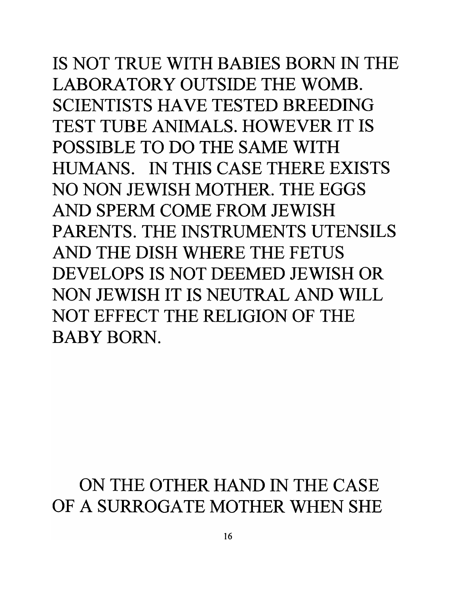**IS** NOT TRUE WITH BABIES BORN IN THE LABORATORY OUTSIDE THE WOMB. SCIENTISTS HAVE TESTED BREEDING TEST TUBE ANIMALS. HOWEVER IT **IS**  POSSIBLE TO DO THE SAME WITH HUMANS. IN THIS CASE THERE EXISTS NO NON JEWISH MOTHER. THE EGGS AND SPERM COME FROM JEWISH PARENTS. THE INSTRUMENTS UTENSILS AND THE DISH WHERE THE FETUS DEVELOPS **IS** NOT DEEMED JEWISH OR NON JEWISH IT **IS** NEUTRAL AND WILL NOT EFFECT THE RELIGION OF THE BABY BORN.

### ON THE OTHER HAND IN THE CASE OF A SURROGATE MOTHER WHEN SHE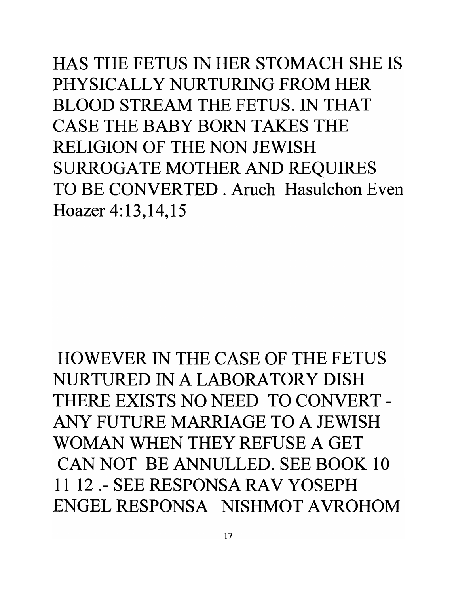HAS THE FETUS IN HER STOMACH SHE IS PHYSICALLY NURTURING FROM HER BLOOD STREAM THE FETUS. IN THAT CASE THE BABY BORN TAKES THE RELIGION OF THE NON JEWISH SURROGATE MOTHER AND REQUIRES TO BE CONVERTED. Aruch Hasulchon Even Hoazer 4:13,14,15

HOWEVER IN THE CASE OF THE FETUS NURTURED IN A LABORATORY DISH THERE EXISTS NO NEED TO CONVERT - ANY FUTURE MARRIAGE TO A JEWISH WOMAN WHEN THEY REFUSE A GET CAN NOT BE ANNULLED. SEE BOOK 10 11 12 .- SEE RESPONSA RAV YOSEPH ENGEL RESPONSA NISHMOT A VROHOM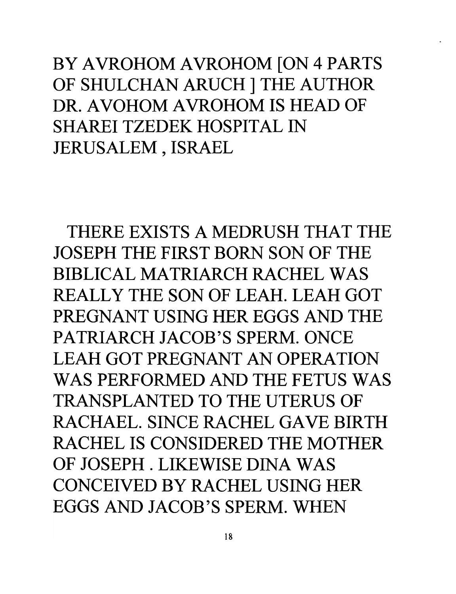BY AVROHOM AVROHOM [ON 4 PARTS OF SHULCHAN ARUCH ] THE AUTHOR DR. A VOHOM A VROHOM **IS** HEAD OF SHAREI TZEDEK HOSPITAL IN JERUSALEM, ISRAEL

THERE EXISTS A MEDRUSH THAT THE JOSEPH THE FIRST BORN SON OF THE BIBLICAL MATRIARCH RACHEL WAS REALLY THE SON OF LEAH. LEAH GOT PREGNANT USING HER EGGS AND THE PATRIARCH JACOB'S SPERM. ONCE LEAH GOT PREGNANT AN OPERATION WAS PERFORMED AND THE FETUS WAS TRANSPLANTED TO THE UTERUS OF RACHAEL. SINCE RACHEL GAVE BIRTH RACHEL **IS** CONSIDERED THE MOTHER OF JOSEPH. LIKEWISE DINA WAS CONCEIVED BY RACHEL USING HER EGGS AND JACOB'S SPERM. WHEN